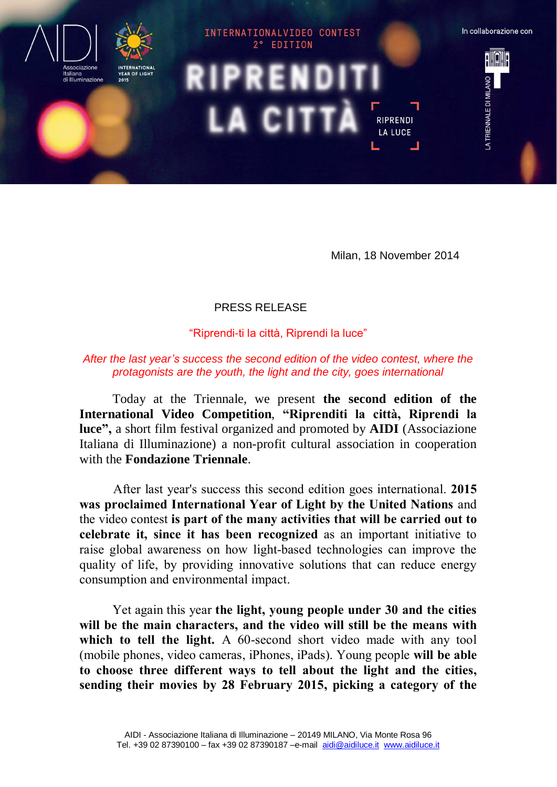

Milan, 18 November 2014

## PRESS RELEASE

"Riprendi-ti la città, Riprendi la luce"

## *After the last year's success the second edition of the video contest, where the protagonists are the youth, the light and the city, goes international*

Today at the Triennale, we present **the second edition of the International Video Competition**, **"Riprenditi la città, Riprendi la luce",** a short film festival organized and promoted by **AIDI** (Associazione Italiana di Illuminazione) a non-profit cultural association in cooperation with the **Fondazione Triennale**.

After last year's success this second edition goes international. **2015 was proclaimed International Year of Light by the United Nations** and the video contest **is part of the many activities that will be carried out to celebrate it, since it has been recognized** as an important initiative to raise global awareness on how light-based technologies can improve the quality of life, by providing innovative solutions that can reduce energy consumption and environmental impact.

Yet again this year **the light, young people under 30 and the cities will be the main characters, and the video will still be the means with** which to tell the light. A 60-second short video made with any tool (mobile phones, video cameras, iPhones, iPads). Young people **will be able to choose three different ways to tell about the light and the cities, sending their movies by 28 February 2015, picking a category of the**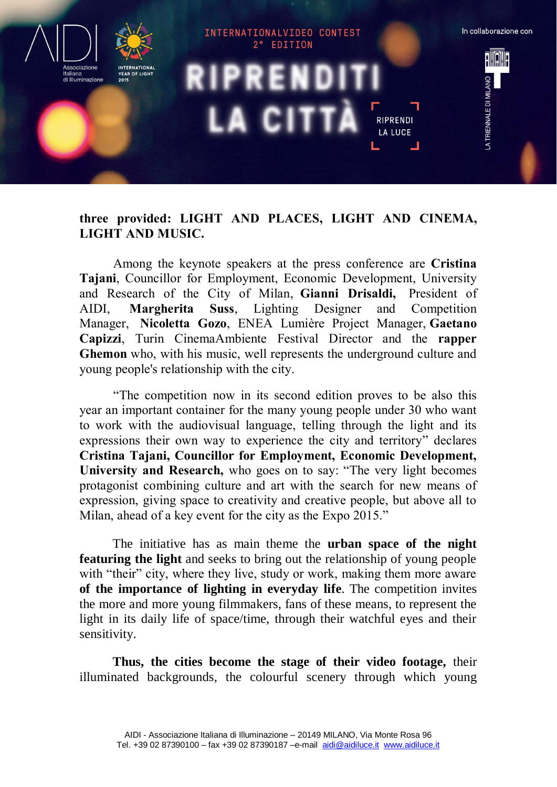

## **three provided: LIGHT AND PLACES, LIGHT AND CINEMA, LIGHT AND MUSIC.**

Among the keynote speakers at the press conference are **Cristina Tajani**, Councillor for Employment, Economic Development, University and Research of the City of Milan, **Gianni Drisaldi,** President of AIDI, **Margherita Suss**, Lighting Designer and Competition Manager, **Nicoletta Gozo**, ENEA Lumière Project Manager, **Gaetano Capizzi**, Turin CinemaAmbiente Festival Director and the **rapper Ghemon** who, with his music, well represents the underground culture and young people's relationship with the city.

"The competition now in its second edition proves to be also this year an important container for the many young people under 30 who want to work with the audiovisual language, telling through the light and its expressions their own way to experience the city and territory" declares **Cristina Tajani, Councillor for Employment, Economic Development, University and Research,** who goes on to say: "The very light becomes protagonist combining culture and art with the search for new means of expression, giving space to creativity and creative people, but above all to Milan, ahead of a key event for the city as the Expo 2015."

The initiative has as main theme the **urban space of the night featuring the light** and seeks to bring out the relationship of young people with "their" city, where they live, study or work, making them more aware **of the importance of lighting in everyday life**. The competition invites the more and more young filmmakers, fans of these means, to represent the light in its daily life of space/time, through their watchful eyes and their sensitivity.

**Thus, the cities become the stage of their video footage,** their illuminated backgrounds, the colourful scenery through which young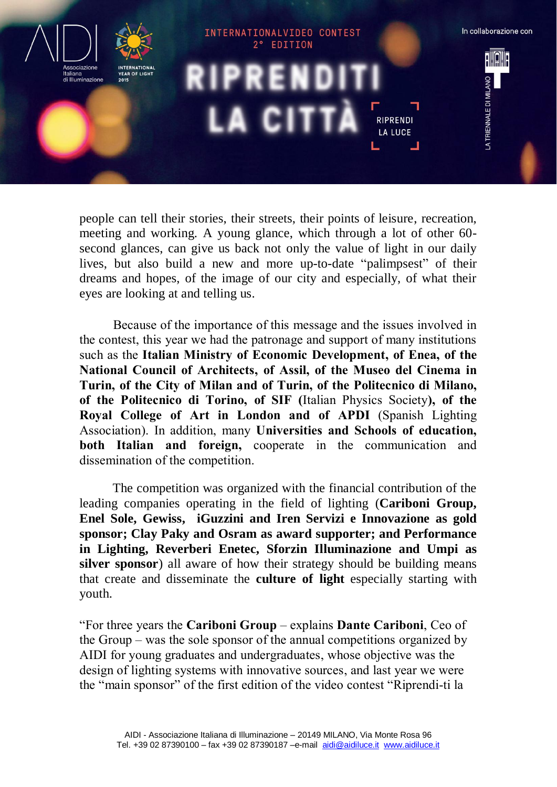

people can tell their stories, their streets, their points of leisure, recreation, meeting and working. A young glance, which through a lot of other 60 second glances, can give us back not only the value of light in our daily lives, but also build a new and more up-to-date "palimpsest" of their dreams and hopes, of the image of our city and especially, of what their eyes are looking at and telling us.

Because of the importance of this message and the issues involved in the contest, this year we had the patronage and support of many institutions such as the **Italian Ministry of Economic Development, of Enea, of the National Council of Architects, of Assil, of the Museo del Cinema in Turin, of the City of Milan and of Turin, of the Politecnico di Milano, of the Politecnico di Torino, of SIF (**Italian Physics Society**), of the Royal College of Art in London and of APDI** (Spanish Lighting Association). In addition, many **Universities and Schools of education, both Italian and foreign,** cooperate in the communication and dissemination of the competition.

The competition was organized with the financial contribution of the leading companies operating in the field of lighting (**Cariboni Group, Enel Sole, Gewiss, iGuzzini and Iren Servizi e Innovazione as gold sponsor; Clay Paky and Osram as award supporter; and Performance in Lighting, Reverberi Enetec, Sforzin Illuminazione and Umpi as silver sponsor**) all aware of how their strategy should be building means that create and disseminate the **culture of light** especially starting with youth.

"For three years the **Cariboni Group** – explains **Dante Cariboni**, Ceo of the Group – was the sole sponsor of the annual competitions organized by AIDI for young graduates and undergraduates, whose objective was the design of lighting systems with innovative sources, and last year we were the "main sponsor" of the first edition of the video contest "Riprendi-ti la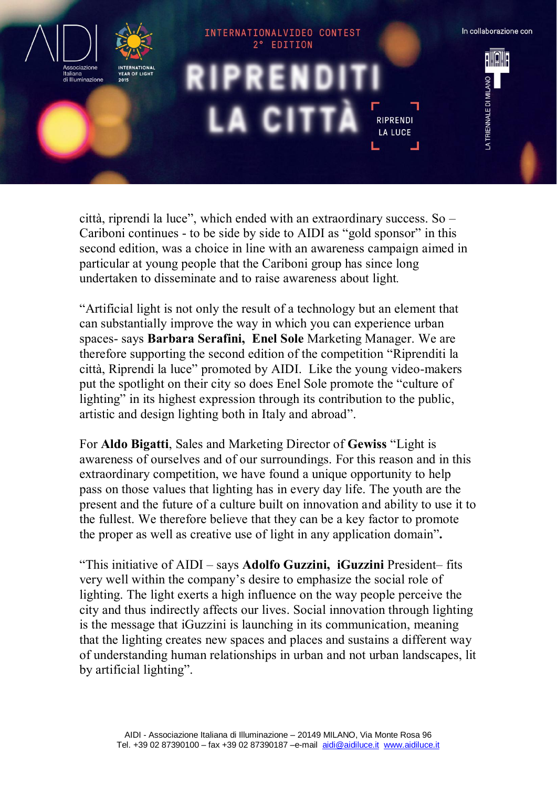

città, riprendi la luce", which ended with an extraordinary success. So – Cariboni continues - to be side by side to AIDI as "gold sponsor" in this second edition, was a choice in line with an awareness campaign aimed in particular at young people that the Cariboni group has since long undertaken to disseminate and to raise awareness about light*.*

"Artificial light is not only the result of a technology but an element that can substantially improve the way in which you can experience urban spaces- says **Barbara Serafini, Enel Sole** Marketing Manager. We are therefore supporting the second edition of the competition "Riprenditi la città, Riprendi la luce" promoted by AIDI. Like the young video-makers put the spotlight on their city so does Enel Sole promote the "culture of lighting" in its highest expression through its contribution to the public, artistic and design lighting both in Italy and abroad".

For **Aldo Bigatti**, Sales and Marketing Director of **Gewiss** "Light is awareness of ourselves and of our surroundings. For this reason and in this extraordinary competition, we have found a unique opportunity to help pass on those values that lighting has in every day life. The youth are the present and the future of a culture built on innovation and ability to use it to the fullest. We therefore believe that they can be a key factor to promote the proper as well as creative use of light in any application domain"**.**

"This initiative of AIDI – says **Adolfo Guzzini, iGuzzini** President– fits very well within the company's desire to emphasize the social role of lighting. The light exerts a high influence on the way people perceive the city and thus indirectly affects our lives. Social innovation through lighting is the message that iGuzzini is launching in its communication, meaning that the lighting creates new spaces and places and sustains a different way of understanding human relationships in urban and not urban landscapes, lit by artificial lighting".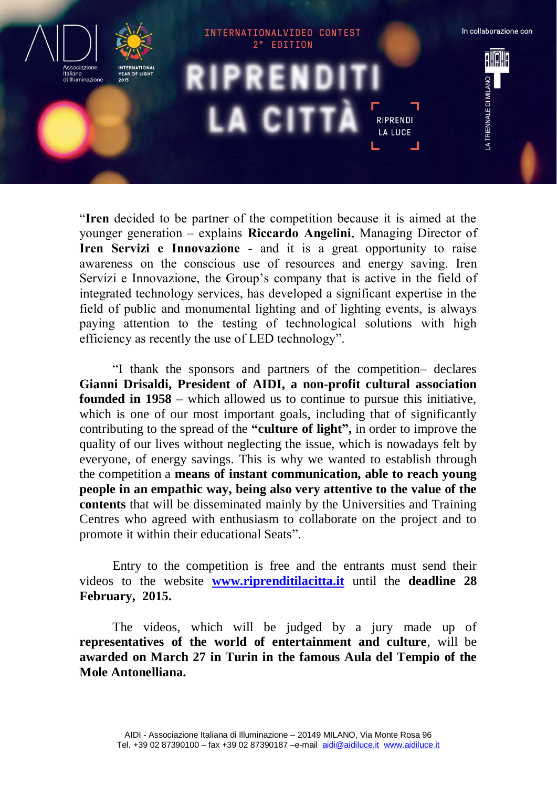

"**Iren** decided to be partner of the competition because it is aimed at the younger generation – explains **Riccardo Angelini**, Managing Director of **Iren Servizi e Innovazione** - and it is a great opportunity to raise awareness on the conscious use of resources and energy saving. Iren Servizi e Innovazione, the Group's company that is active in the field of integrated technology services, has developed a significant expertise in the field of public and monumental lighting and of lighting events, is always paying attention to the testing of technological solutions with high efficiency as recently the use of LED technology".

"I thank the sponsors and partners of the competition– declares **Gianni Drisaldi, President of AIDI, a non-profit cultural association founded in 1958 –** which allowed us to continue to pursue this initiative, which is one of our most important goals, including that of significantly contributing to the spread of the **"culture of light" ,** in order to improve the quality of our lives without neglecting the issue, which is nowadays felt by everyone, of energy savings. This is why we wanted to establish through the competition a **means of instant communication, able to reach young people in an empathic way, being also very attentive to the value of the contents** that will be disseminated mainly by the Universities and Training Centres who agreed with enthusiasm to collaborate on the project and to promote it within their educational Seats".

Entry to the competition is free and the entrants must send their videos to the website **[www.riprenditilacitta.it](http://www.riprenditilacitta.it/)** until the **deadline 28 February, 2015.** 

The videos, which will be judged by a jury made up of **representatives of the world of entertainment and culture**, will be **awarded on March 27 in Turin in the famous Aula del Tempio of the Mole Antonelliana.**